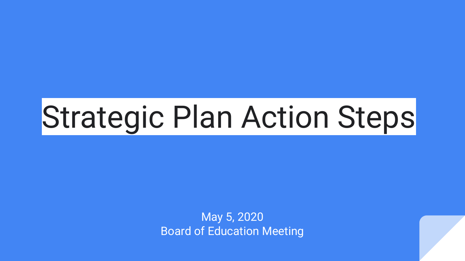# Strategic Plan Action Steps

May 5, 2020 Board of Education Meeting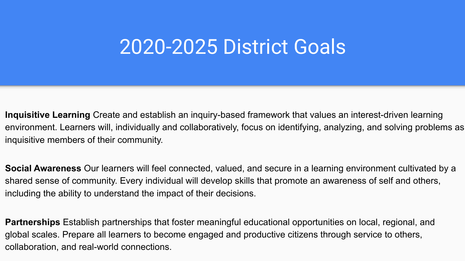### 2020-2025 District Goals

**Inquisitive Learning** Create and establish an inquiry-based framework that values an interest-driven learning environment. Learners will, individually and collaboratively, focus on identifying, analyzing, and solving problems as inquisitive members of their community.

**Social Awareness** Our learners will feel connected, valued, and secure in a learning environment cultivated by a shared sense of community. Every individual will develop skills that promote an awareness of self and others, including the ability to understand the impact of their decisions.

**Partnerships** Establish partnerships that foster meaningful educational opportunities on local, regional, and global scales. Prepare all learners to become engaged and productive citizens through service to others, collaboration, and real-world connections.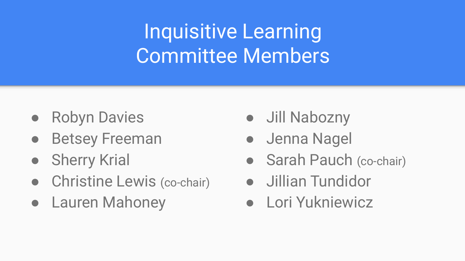## Inquisitive Learning Committee Members

- Robyn Davies
- Betsey Freeman
- Sherry Krial
- Christine Lewis (co-chair)
- Lauren Mahoney
- Jill Nabozny
- Jenna Nagel
- Sarah Pauch (co-chair)
- Jillian Tundidor
- Lori Yukniewicz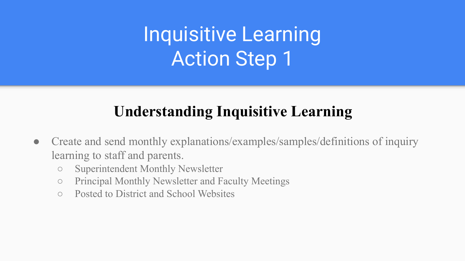### **Understanding Inquisitive Learning**

- **●** Create and send monthly explanations/examples/samples/definitions of inquiry learning to staff and parents.
	- Superintendent Monthly Newsletter
	- Principal Monthly Newsletter and Faculty Meetings
	- Posted to District and School Websites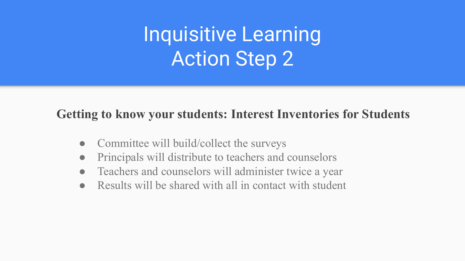#### **Getting to know your students: Interest Inventories for Students**

- Committee will build/collect the surveys
- Principals will distribute to teachers and counselors
- Teachers and counselors will administer twice a year
- Results will be shared with all in contact with student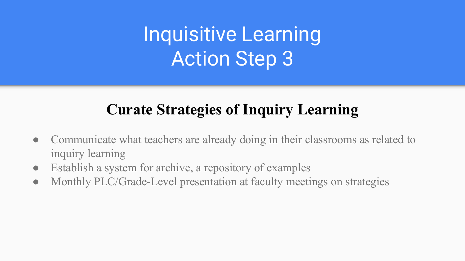### **Curate Strategies of Inquiry Learning**

- Communicate what teachers are already doing in their classrooms as related to inquiry learning
- Establish a system for archive, a repository of examples
- Monthly PLC/Grade-Level presentation at faculty meetings on strategies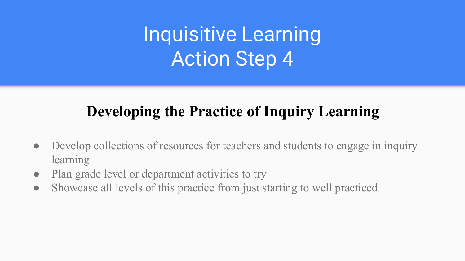### **Developing the Practice of Inquiry Learning**

- Develop collections of resources for teachers and students to engage in inquiry learning
- Plan grade level or department activities to try
- Showcase all levels of this practice from just starting to well practiced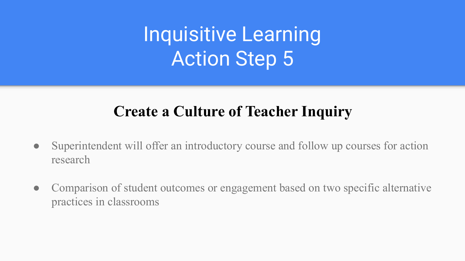### **Create a Culture of Teacher Inquiry**

- Superintendent will offer an introductory course and follow up courses for action research
- Comparison of student outcomes or engagement based on two specific alternative practices in classrooms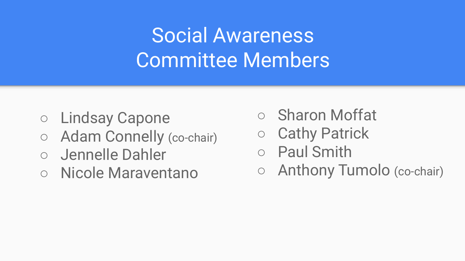## Social Awareness Committee Members

- Lindsay Capone
- Adam Connelly (co-chair)
- **Jennelle Dahler**
- Nicole Maraventano
- Sharon Moffat
- Cathy Patrick
- Paul Smith
- Anthony Tumolo (co-chair)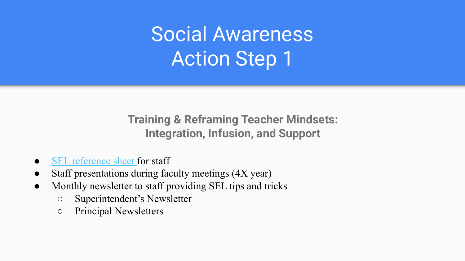Social Awareness Action Step 1

**Training & Reframing Teacher Mindsets: Integration, Infusion, and Support**

- [SEL reference sheet](https://docs.google.com/document/d/1xuv2rRQHpV1Iq-6rtUStD4ijf07V8GLGa6AFiACU6ZI/edit) for staff
- Staff presentations during faculty meetings (4X year)
- Monthly newsletter to staff providing SEL tips and tricks
	- Superintendent's Newsletter
	- Principal Newsletters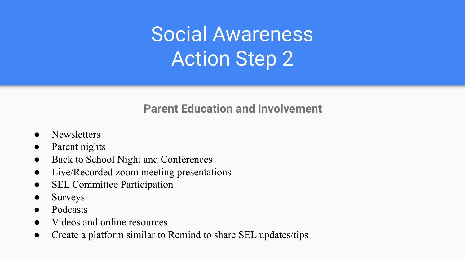## Social Awareness Action Step 2

#### **Parent Education and Involvement**

- Newsletters
- Parent nights
- Back to School Night and Conferences
- Live/Recorded zoom meeting presentations
- SEL Committee Participation
- **Surveys**
- **Podcasts**
- Videos and online resources
- Create a platform similar to Remind to share SEL updates/tips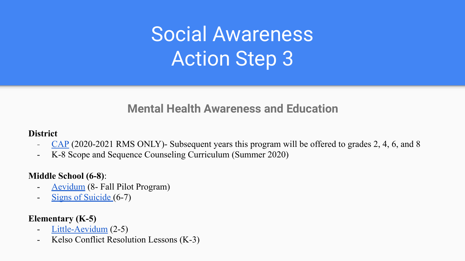## Social Awareness Action Step 3

#### **Mental Health Awareness and Education**

#### **District**

- [CAP](https://njcap.org/hunterdon-county-cap-project/) (2020-2021 RMS ONLY)- Subsequent years this program will be offered to grades 2, 4, 6, and 8
- K-8 Scope and Sequence Counseling Curriculum (Summer 2020)

#### **Middle School (6-8)**:

- [Aevidum](https://www.aevidumcurriculum.com/main) (8- Fall Pilot Program)
- [Signs of Suicide](https://www.mindwise.org/shop/sos-signs-of-suicide-middle-school-program-1/) (6-7)

#### **Elementary (K-5)**

- [Little-Aevidum](https://drive.google.com/open?id=1icQ9hjkgERTQRTSGScqzRcYQsAlytBtc) (2-5)
- Kelso Conflict Resolution Lessons (K-3)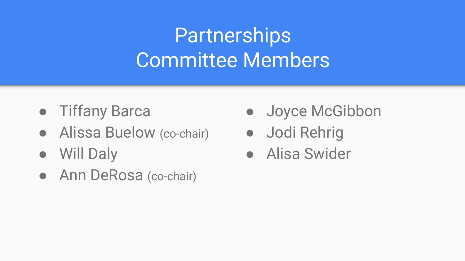## **Partnerships** Committee Members

- Tiffany Barca
- Alissa Buelow (co-chair)
- Will Daly
- Ann DeRosa (co-chair)
- Joyce McGibbon
- Jodi Rehrig
- Alisa Swider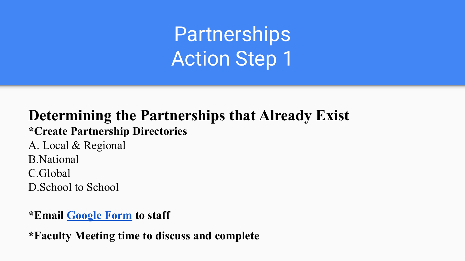### **Determining the Partnerships that Already Exist**

**\*Create Partnership Directories**

A. Local & Regional B.National C.Global D.School to School

#### **\*Email [Google Form](https://docs.google.com/forms/d/1TCgeqFDf_R-RaKSWuiR03Rip4iRglToGn-Q9QenbtCI/edit) to staff**

**\*Faculty Meeting time to discuss and complete**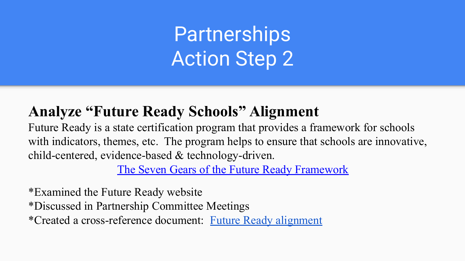### **Analyze "Future Ready Schools" Alignment**

Future Ready is a state certification program that provides a framework for schools with indicators, themes, etc. The program helps to ensure that schools are innovative, child-centered, evidence-based & technology-driven.

[The Seven Gears of the Future Ready Framework](https://drive.google.com/open?id=19d0EJN_aM0m5iocbBGaiZdgJjJ6_ZYBg)

\*Examined the Future Ready website \*Discussed in Partnership Committee Meetings \*Created a cross-reference document: [Future Ready alignment](https://docs.google.com/document/d/1lUUrpx16495WmCgspcI9IRayCEE2H8TTUf2iOrjl12Q/edit?usp=sharing)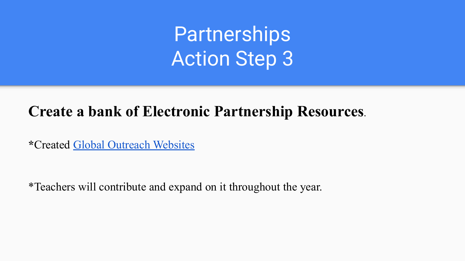### **Create a bank of Electronic Partnership Resources.**

**\***Created [Global Outreach Websites](https://docs.google.com/document/d/1SULf6mLn1O8OoeQHNGepWq9mjOqWIDgUiH1gOqN13-M/edit)

\*Teachers will contribute and expand on it throughout the year.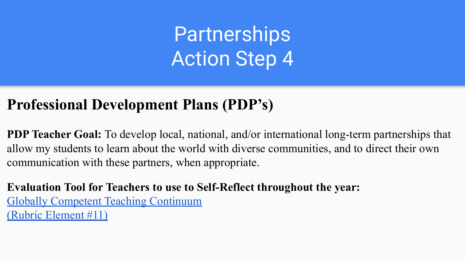### **Professional Development Plans (PDP's)**

**PDP Teacher Goal:** To develop local, national, and/or international long-term partnerships that allow my students to learn about the world with diverse communities, and to direct their own communication with these partners, when appropriate.

**Evaluation Tool for Teachers to use to Self-Reflect throughout the year:** [Globally Competent Teaching Continuum](http://globallearning.ascd.org/lp/editions/global-continuum/skills-local-national-international-partnerships.html) [\(Rubric Element #11\)](http://globallearning.ascd.org/lp/editions/global-continuum/skills-local-national-international-partnerships.html)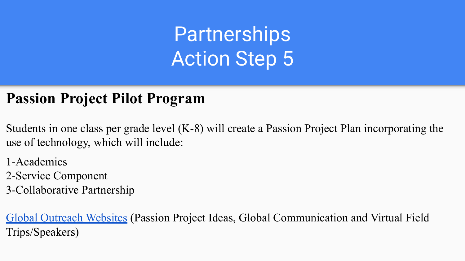### **Passion Project Pilot Program**

Students in one class per grade level (K-8) will create a Passion Project Plan incorporating the use of technology, which will include:

- 1-Academics
- 2-Service Component
- 3-Collaborative Partnership

[Global Outreach Websites](https://docs.google.com/document/d/1SULf6mLn1O8OoeQHNGepWq9mjOqWIDgUiH1gOqN13-M/edit) (Passion Project Ideas, Global Communication and Virtual Field Trips/Speakers)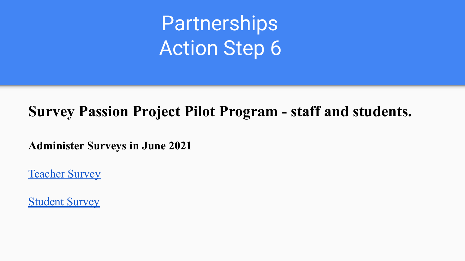### **Survey Passion Project Pilot Program - staff and students.**

**Administer Surveys in June 2021**

[Teacher Survey](https://docs.google.com/forms/d/1qBjdKSFfx2NGv9NISwoDs4ujjuLfJvzl4IIV0XF5Gts/edit)

[Student Survey](https://docs.google.com/forms/d/1KJCzR_kNpybD-KC7bsltcmyiHi0yv25Fms35U4fWCqc/edit)